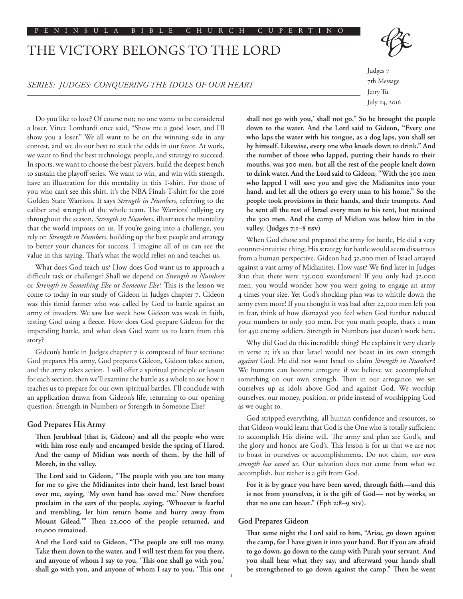#### PENINSULA BIBLE CHURCH CUPERTINO

# THE VICTORY BELONGS TO THE LORD



## *SERIES: JUDGES: CONQUERING THE IDOLS OF OUR HEART*

Judges 7 7th Message Jerry Tu July 24, 2016

Do you like to lose? Of course not; no one wants to be considered a loser. Vince Lombardi once said, "Show me a good loser, and I'll show you a loser." We all want to be on the winning side in any contest, and we do our best to stack the odds in our favor. At work, we want to find the best technology, people, and strategy to succeed. In sports, we want to choose the best players, build the deepest bench to sustain the playoff series. We want to win, and win with strength. have an illustration for this mentality in this T-shirt. For those of you who can't see this shirt, it's the NBA Finals T-shirt for the 2016 Golden State Warriors. It says *Strength in Numbers*, referring to the caliber and strength of the whole team. The Warriors' rallying cry throughout the season, *Strength in Numbers*, illustrates the mentality that the world imposes on us. If you're going into a challenge, you rely on *Strength in Numbers*, building up the best people and strategy to better your chances for success. I imagine all of us can see the value in this saying. That's what the world relies on and teaches us.

What does God teach us? How does God want us to approach a difficult task or challenge? Shall we depend on *Strength in Numbers* or *Strength in Something Else* or *Someone Else*? This is the lesson we come to today in our study of Gideon in Judges chapter 7. Gideon was this timid farmer who was called by God to battle against an army of invaders. We saw last week how Gideon was weak in faith, testing God using a fleece. How does God prepare Gideon for the impending battle, and what does God want us to learn from this story?

Gideon's battle in Judges chapter 7 is composed of four sections: God prepares His army, God prepares Gideon, Gideon takes action, and the army takes action. I will offer a spiritual principle or lesson for each section, then we'll examine the battle as a whole to see how it teaches us to prepare for our own spiritual battles. I'll conclude with an application drawn from Gideon's life, returning to our opening question: Strength in Numbers or Strength in Someone Else?

## **God Prepares His Army**

**Then Jerubbaal (that is, Gideon) and all the people who were with him rose early and encamped beside the spring of Harod. And the camp of Midian was north of them, by the hill of Moreh, in the valley.**

**The Lord said to Gideon, "The people with you are too many for me to give the Midianites into their hand, lest Israel boast over me, saying, 'My own hand has saved me.' Now therefore proclaim in the ears of the people, saying, 'Whoever is fearful and trembling, let him return home and hurry away from Mount Gilead.'" Then 22,000 of the people returned, and 10,000 remained.**

**And the Lord said to Gideon, "The people are still too many. Take them down to the water, and I will test them for you there, and anyone of whom I say to you, 'This one shall go with you,' shall go with you, and anyone of whom I say to you, 'This one** 

**shall not go with you,' shall not go." So he brought the people down to the water. And the Lord said to Gideon, "Every one who laps the water with his tongue, as a dog laps, you shall set by himself. Likewise, every one who kneels down to drink." And the number of those who lapped, putting their hands to their mouths, was 300 men, but all the rest of the people knelt down to drink water. And the Lord said to Gideon, "With the 300 men who lapped I will save you and give the Midianites into your hand, and let all the others go every man to his home." So the people took provisions in their hands, and their trumpets. And he sent all the rest of Israel every man to his tent, but retained the 300 men. And the camp of Midian was below him in the valley. (Judges 7:1–8 esv)**

When God chose and prepared the army for battle, He did a very counter-intuitive thing. His strategy for battle would seem disastrous from a human perspective. Gideon had 32,000 men of Israel arrayed against a vast army of Midianites. How vast? We find later in Judges 8:10 that there were 135,000 swordsmen! If you only had 32,000 men, you would wonder how you were going to engage an army 4 times your size. Yet God's shocking plan was to whittle down the army even more! If you thought it was bad after 22,000 men left you in fear, think of how dismayed you feel when God further reduced your numbers to only 300 men. For you math people, that's 1 man for 450 enemy soldiers. Strength in Numbers just doesn't work here.

Why did God do this incredible thing? He explains it very clearly in verse 2; it's so that Israel would not boast in its own strength *against* God. He did not want Israel to claim *Strength in Numbers*! We humans can become arrogant if we believe we accomplished something on our own strength. Then in our arrogance, we set ourselves up as idols above God and against God. We worship ourselves, our money, position, or pride instead of worshipping God as we ought to.

God stripped everything, all human confidence and resources, so that Gideon would learn that God is the One who is totally sufficient to accomplish His divine will. The army and plan are God's, and the glory and honor are God's. This lesson is for us that we are not to boast in ourselves or accomplishments. Do not claim, *our own strength has saved us*. Our salvation does not come from what we accomplish, but rather is a gift from God.

**For it is by grace you have been saved, through faith—and this is not from yourselves, it is the gift of God— not by works, so that no one can boast." (Eph 2:8–9 NIV).**

#### **God Prepares Gideon**

1

**That same night the Lord said to him, "Arise, go down against the camp, for I have given it into your hand. But if you are afraid to go down, go down to the camp with Purah your servant. And you shall hear what they say, and afterward your hands shall be strengthened to go down against the camp." Then he went**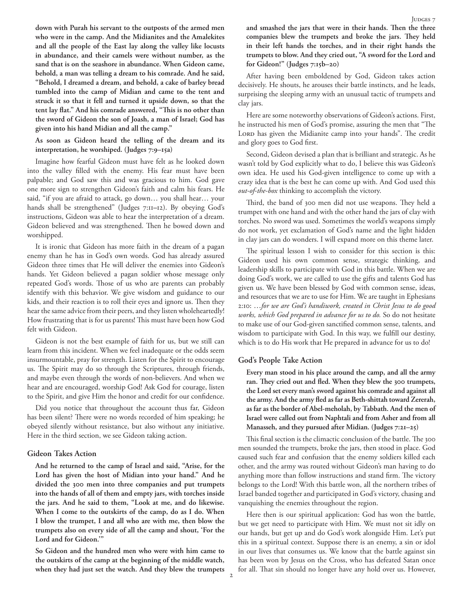**down with Purah his servant to the outposts of the armed men who were in the camp. And the Midianites and the Amalekites and all the people of the East lay along the valley like locusts in abundance, and their camels were without number, as the sand that is on the seashore in abundance. When Gideon came, behold, a man was telling a dream to his comrade. And he said, "Behold, I dreamed a dream, and behold, a cake of barley bread tumbled into the camp of Midian and came to the tent and struck it so that it fell and turned it upside down, so that the tent lay flat." And his comrade answered, "This is no other than the sword of Gideon the son of Joash, a man of Israel; God has given into his hand Midian and all the camp."** 

**As soon as Gideon heard the telling of the dream and its interpretation, he worshiped. (Judges 7:9–15a)**

Imagine how fearful Gideon must have felt as he looked down into the valley filled with the enemy. His fear must have been palpable; and God saw this and was gracious to him. God gave one more sign to strengthen Gideon's faith and calm his fears. He said, "if you are afraid to attack, go down… you shall hear… your hands shall be strengthened" (Judges 7:11**–**12). By obeying God's instructions, Gideon was able to hear the interpretation of a dream. Gideon believed and was strengthened. Then he bowed down and worshipped.

It is ironic that Gideon has more faith in the dream of a pagan enemy than he has in God's own words. God has already assured Gideon three times that He will deliver the enemies into Gideon's hands. Yet Gideon believed a pagan soldier whose message only repeated God's words. Those of us who are parents can probably identify with this behavior. We give wisdom and guidance to our kids, and their reaction is to roll their eyes and ignore us. Then they hear the same advice from their peers, and they listen wholeheartedly! How frustrating that is for us parents! This must have been how God felt with Gideon.

Gideon is not the best example of faith for us, but we still can learn from this incident. When we feel inadequate or the odds seem insurmountable, pray for strength. Listen for the Spirit to encourage us. The Spirit may do so through the Scriptures, through friends, and maybe even through the words of non-believers. And when we hear and are encouraged, worship God! Ask God for courage, listen to the Spirit, and give Him the honor and credit for our confidence.

Did you notice that throughout the account thus far, Gideon has been silent? There were no words recorded of him speaking; he obeyed silently without resistance, but also without any initiative. Here in the third section, we see Gideon taking action.

## **Gideon Takes Action**

**And he returned to the camp of Israel and said, "Arise, for the Lord has given the host of Midian into your hand." And he divided the 300 men into three companies and put trumpets into the hands of all of them and empty jars, with torches inside the jars. And he said to them, "Look at me, and do likewise. When I come to the outskirts of the camp, do as I do. When I blow the trumpet, I and all who are with me, then blow the trumpets also on every side of all the camp and shout, 'For the Lord and for Gideon.'"**

**So Gideon and the hundred men who were with him came to the outskirts of the camp at the beginning of the middle watch, when they had just set the watch. And they blew the trumpets**  **and smashed the jars that were in their hands. Then the three companies blew the trumpets and broke the jars. They held in their left hands the torches, and in their right hands the trumpets to blow. And they cried out, "A sword for the Lord and for Gideon!" (Judges 7:15b–20)**

After having been emboldened by God, Gideon takes action decisively. He shouts, he arouses their battle instincts, and he leads, surprising the sleeping army with an unusual tactic of trumpets and clay jars.

Here are some noteworthy observations of Gideon's actions. First, he instructed his men of God's promise, assuring the men that "The LORD has given the Midianite camp into your hands". The credit and glory goes to God first.

Second, Gideon devised a plan that is brilliant and strategic. As he wasn't told by God explicitly what to do, I believe this was Gideon's own idea. He used his God-given intelligence to come up with a crazy idea that is the best he can come up with. And God used this *out-of-the-box* thinking to accomplish the victory.

Third, the band of 300 men did not use weapons. They held a trumpet with one hand and with the other hand the jars of clay with torches. No sword was used. Sometimes the world's weapons simply do not work, yet exclamation of God's name and the light hidden in clay jars can do wonders. I will expand more on this theme later.

The spiritual lesson I wish to consider for this section is this: Gideon used his own common sense, strategic thinking, and leadership skills to participate with God in this battle. When we are doing God's work, we are called to use the gifts and talents God has given us. We have been blessed by God with common sense, ideas, and resources that we are to use for Him. We are taught in Ephesians 2:10: …*for we are God's handiwork, created in Christ Jesus to do good works, which God prepared in advance for us to do.* So do not hesitate to make use of our God-given sanctified common sense, talents, and wisdom to participate with God. In this way, we fulfill our destiny, which is to do His work that He prepared in advance for us to do!

### **God's People Take Action**

**Every man stood in his place around the camp, and all the army ran. They cried out and fled. When they blew the 300 trumpets, the Lord set every man's sword against his comrade and against all the army. And the army fled as far as Beth-shittah toward Zererah, as far as the border of Abel-meholah, by Tabbath. And the men of Israel were called out from Naphtali and from Asher and from all Manasseh, and they pursued after Midian. (Judges 7:21–25)**

This final section is the climactic conclusion of the battle. The 300 men sounded the trumpets, broke the jars, then stood in place. God caused such fear and confusion that the enemy soldiers killed each other, and the army was routed without Gideon's man having to do anything more than follow instructions and stand firm. The victory belongs to the Lord! With this battle won, all the northern tribes of Israel banded together and participated in God's victory, chasing and vanquishing the enemies throughout the region.

Here then is our spiritual application: God has won the battle, but we get need to participate with Him. We must not sit idly on our hands, but get up and do God's work alongside Him. Let's put this in a spiritual context. Suppose there is an enemy, a sin or idol in our lives that consumes us. We know that the battle against sin has been won by Jesus on the Cross, who has defeated Satan once for all. That sin should no longer have any hold over us. However,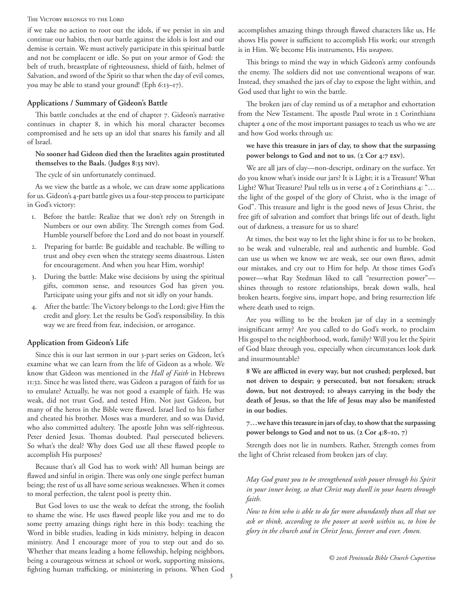#### The Victory belongs to the Lord

if we take no action to root out the idols, if we persist in sin and continue our habits, then our battle against the idols is lost and our demise is certain. We must actively participate in this spiritual battle and not be complacent or idle. So put on your armor of God: the belt of truth, breastplate of righteousness, shield of faith, helmet of Salvation, and sword of the Spirit so that when the day of evil comes, you may be able to stand your ground! (Eph 6:13**–**17).

## **Applications / Summary of Gideon's Battle**

This battle concludes at the end of chapter 7. Gideon's narrative continues in chapter 8, in which his moral character becomes compromised and he sets up an idol that snares his family and all of Israel.

## **No sooner had Gideon died then the Israelites again prostituted themselves to the Baals. (Judges 8:33 NIV).**

The cycle of sin unfortunately continued.

As we view the battle as a whole, we can draw some applications for us. Gideon's 4-part battle gives us a four-step process to participate in God's victory:

- 1. Before the battle: Realize that we don't rely on Strength in Numbers or our own ability. The Strength comes from God. Humble yourself before the Lord and do not boast in yourself.
- 2. Preparing for battle: Be guidable and teachable. Be willing to trust and obey even when the strategy seems disastrous. Listen for encouragement. And when you hear Him, worship!
- 3. During the battle: Make wise decisions by using the spiritual gifts, common sense, and resources God has given you. Participate using your gifts and not sit idly on your hands.
- 4. After the battle: The Victory belongs to the Lord; give Him the credit and glory. Let the results be God's responsibility. In this way we are freed from fear, indecision, or arrogance.

## **Application from Gideon's Life**

Since this is our last sermon in our 3-part series on Gideon, let's examine what we can learn from the life of Gideon as a whole. We know that Gideon was mentioned in the *Hall of Faith* in Hebrews 11:32. Since he was listed there, was Gideon a paragon of faith for us to emulate? Actually, he was not good a example of faith. He was weak, did not trust God, and tested Him. Not just Gideon, but many of the heros in the Bible were flawed. Israel lied to his father and cheated his brother. Moses was a murderer, and so was David, who also committed adultery. The apostle John was self-righteous. Peter denied Jesus. Thomas doubted. Paul persecuted believers. So what's the deal? Why does God use all these flawed people to accomplish His purposes?

Because that's all God has to work with! All human beings are flawed and sinful in origin. There was only one single perfect human being; the rest of us all have some serious weaknesses. When it comes to moral perfection, the talent pool is pretty thin.

But God loves to use the weak to defeat the strong, the foolish to shame the wise. He uses flawed people like you and me to do some pretty amazing things right here in this body: teaching the Word in bible studies, leading in kids ministry, helping in deacon ministry. And I encourage more of you to step out and do so. Whether that means leading a home fellowship, helping neighbors, being a courageous witness at school or work, supporting missions, fighting human trafficking, or ministering in prisons. When God accomplishes amazing things through flawed characters like us, He shows His power is sufficient to accomplish His work; our strength is in Him. We become His instruments, His *weapons*.

This brings to mind the way in which Gideon's army confounds the enemy. The soldiers did not use conventional weapons of war. Instead, they smashed the jars of clay to expose the light within, and God used that light to win the battle.

The broken jars of clay remind us of a metaphor and exhortation from the New Testament. The apostle Paul wrote in 2 Corinthians chapter 4 one of the most important passages to teach us who we are and how God works through us:

## **we have this treasure in jars of clay, to show that the surpassing power belongs to God and not to us. (2 Cor 4:7 ESV).**

We are all jars of clay—non-descript, ordinary on the surface. Yet do you know what's inside our jars? It is Light; it is a Treasure! What Light? What Treasure? Paul tells us in verse 4 of 2 Corinthians 4: "... the light of the gospel of the glory of Christ, who is the image of God". This treasure and light is the good news of Jesus Christ, the free gift of salvation and comfort that brings life out of death, light out of darkness, a treasure for us to share!

At times, the best way to let the light shine is for us to be broken, to be weak and vulnerable, real and authentic and humble. God can use us when we know we are weak, see our own flaws, admit our mistakes, and cry out to Him for help. At those times God's power—what Ray Stedman liked to call "resurrection power" shines through to restore relationships, break down walls, heal broken hearts, forgive sins, impart hope, and bring resurrection life where death used to reign.

Are you willing to be the broken jar of clay in a seemingly insignificant army? Are you called to do God's work, to proclaim His gospel to the neighborhood, work, family? Will you let the Spirit of God blaze through you, especially when circumstances look dark and insurmountable?

**8 We are afflicted in every way, but not crushed; perplexed, but not driven to despair; 9 persecuted, but not forsaken; struck down, but not destroyed; 10 always carrying in the body the death of Jesus, so that the life of Jesus may also be manifested in our bodies.**

**7…we have this treasure in jars of clay, to show that the surpassing power belongs to God and not to us. (2 Cor 4:8–10, 7)**

Strength does not lie in numbers. Rather, Strength comes from the light of Christ released from broken jars of clay.

# *May God grant you to be strengthened with power through his Spirit in your inner being, so that Christ may dwell in your hearts through faith.*

*Now to him who is able to do far more abundantly than all that we ask or think, according to the power at work within us, to him be glory in the church and in Christ Jesus, forever and ever. Amen.*